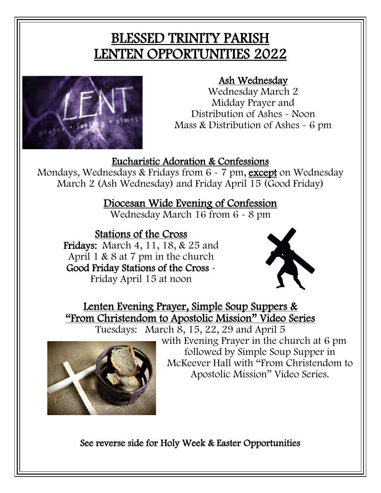# BLESSED TRINITY PARISH LENTEN OPPORTUNITIES 2022



#### Ash Wednesday

Wednesday March 2 Midday Prayer and Distribution of Ashes - Noon Mass & Distribution of Ashes - 6 pm

#### Eucharistic Adoration & Confessions

Mondays, Wednesdays & Fridays from 6 - 7 pm, except on Wednesday March 2 (Ash Wednesday) and Friday April 15 (Good Friday)

Diocesan Wide Evening of Confession

Wednesday March 16 from 6 - 8 pm

#### Stations of the Cross

Fridays: March 4, 11, 18, & 25 and April 1 & 8 at 7 pm in the church Good Friday Stations of the Cross - Friday April 15 at noon



Lenten Evening Prayer, Simple Soup Suppers & "From Christendom to Apostolic Mission" Video Series

Tuesdays: March 8, 15, 22, 29 and April 5



with Evening Prayer in the church at 6 pm followed by Simple Soup Supper in McKeever Hall with "From Christendom to Apostolic Mission" Video Series.

See reverse side for Holy Week & Easter Opportunities